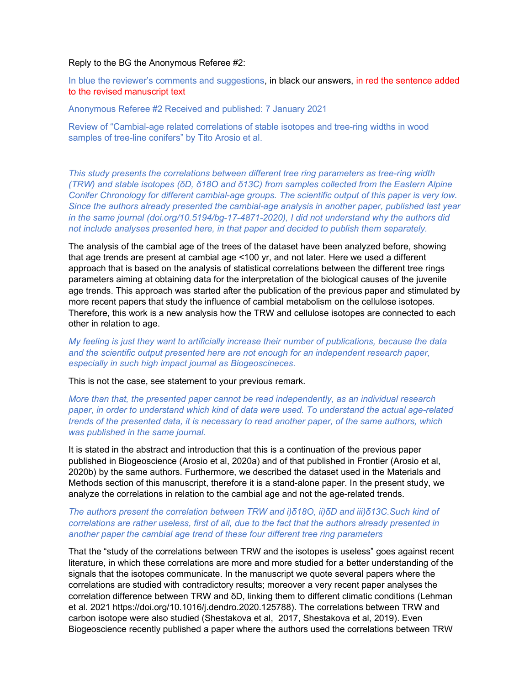## Reply to the BG the Anonymous Referee #2:

In blue the reviewer's comments and suggestions, in black our answers, in red the sentence added to the revised manuscript text

Anonymous Referee #2 Received and published: 7 January 2021

Review of "Cambial-age related correlations of stable isotopes and tree-ring widths in wood samples of tree-line conifers" by Tito Arosio et al.

This study presents the correlations between different tree ring parameters as tree-ring width (TRW) and stable isotopes (δD, δ18O and δ13C) from samples collected from the Eastern Alpine Conifer Chronology for different cambial-age groups. The scientific output of this paper is very low. Since the authors already presented the cambial-age analysis in another paper, published last year in the same journal (doi.org/10.5194/bg-17-4871-2020), I did not understand why the authors did not include analyses presented here, in that paper and decided to publish them separately.

The analysis of the cambial age of the trees of the dataset have been analyzed before, showing that age trends are present at cambial age <100 yr, and not later. Here we used a different approach that is based on the analysis of statistical correlations between the different tree rings parameters aiming at obtaining data for the interpretation of the biological causes of the juvenile age trends. This approach was started after the publication of the previous paper and stimulated by more recent papers that study the influence of cambial metabolism on the cellulose isotopes. Therefore, this work is a new analysis how the TRW and cellulose isotopes are connected to each other in relation to age.

My feeling is just they want to artificially increase their number of publications, because the data and the scientific output presented here are not enough for an independent research paper, especially in such high impact journal as Biogeoscineces.

This is not the case, see statement to your previous remark.

More than that, the presented paper cannot be read independently, as an individual research paper, in order to understand which kind of data were used. To understand the actual age-related trends of the presented data, it is necessary to read another paper, of the same authors, which was published in the same journal.

It is stated in the abstract and introduction that this is a continuation of the previous paper published in Biogeoscience (Arosio et al, 2020a) and of that published in Frontier (Arosio et al, 2020b) by the same authors. Furthermore, we described the dataset used in the Materials and Methods section of this manuscript, therefore it is a stand-alone paper. In the present study, we analyze the correlations in relation to the cambial age and not the age-related trends.

## The authors present the correlation between TRW and i)δ18O, ii)δD and iii)δ13C.Such kind of correlations are rather useless, first of all, due to the fact that the authors already presented in another paper the cambial age trend of these four different tree ring parameters

That the "study of the correlations between TRW and the isotopes is useless" goes against recent literature, in which these correlations are more and more studied for a better understanding of the signals that the isotopes communicate. In the manuscript we quote several papers where the correlations are studied with contradictory results; moreover a very recent paper analyses the correlation difference between TRW and δD, linking them to different climatic conditions (Lehman et al. 2021 https://doi.org/10.1016/j.dendro.2020.125788). The correlations between TRW and carbon isotope were also studied (Shestakova et al, 2017, Shestakova et al, 2019). Even Biogeoscience recently published a paper where the authors used the correlations between TRW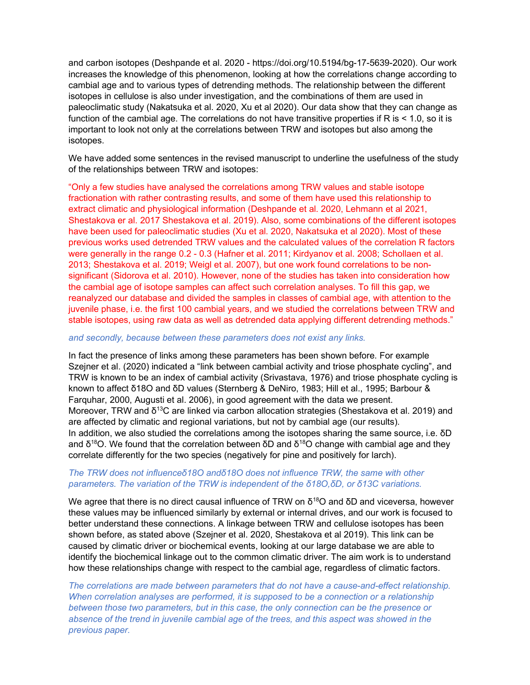and carbon isotopes (Deshpande et al. 2020 - https://doi.org/10.5194/bg-17-5639-2020). Our work increases the knowledge of this phenomenon, looking at how the correlations change according to cambial age and to various types of detrending methods. The relationship between the different isotopes in cellulose is also under investigation, and the combinations of them are used in paleoclimatic study (Nakatsuka et al. 2020, Xu et al 2020). Our data show that they can change as function of the cambial age. The correlations do not have transitive properties if R is < 1.0, so it is important to look not only at the correlations between TRW and isotopes but also among the isotopes.

We have added some sentences in the revised manuscript to underline the usefulness of the study of the relationships between TRW and isotopes:

"Only a few studies have analysed the correlations among TRW values and stable isotope fractionation with rather contrasting results, and some of them have used this relationship to extract climatic and physiological information (Deshpande et al. 2020, Lehmann et al 2021, Shestakova er al. 2017 Shestakova et al. 2019). Also, some combinations of the different isotopes have been used for paleoclimatic studies (Xu et al. 2020, Nakatsuka et al 2020). Most of these previous works used detrended TRW values and the calculated values of the correlation R factors were generally in the range 0.2 - 0.3 (Hafner et al. 2011; Kirdyanov et al. 2008; Schollaen et al. 2013; Shestakova et al. 2019; Weigl et al. 2007), but one work found correlations to be nonsignificant (Sidorova et al. 2010). However, none of the studies has taken into consideration how the cambial age of isotope samples can affect such correlation analyses. To fill this gap, we reanalyzed our database and divided the samples in classes of cambial age, with attention to the juvenile phase, i.e. the first 100 cambial years, and we studied the correlations between TRW and stable isotopes, using raw data as well as detrended data applying different detrending methods."

## and secondly, because between these parameters does not exist any links.

In fact the presence of links among these parameters has been shown before. For example Szejner et al. (2020) indicated a "link between cambial activity and triose phosphate cycling", and TRW is known to be an index of cambial activity (Srivastava, 1976) and triose phosphate cycling is known to affect δ18O and δD values (Sternberg & DeNiro, 1983; Hill et al., 1995; Barbour & Farquhar, 2000, Augusti et al. 2006), in good agreement with the data we present. Moreover, TRW and δ<sup>13</sup>C are linked via carbon allocation strategies (Shestakova et al. 2019) and are affected by climatic and regional variations, but not by cambial age (our results). In addition, we also studied the correlations among the isotopes sharing the same source, i.e. δD and  $\delta^{18}$ O. We found that the correlation between  $\delta$ D and  $\delta^{18}$ O change with cambial age and they correlate differently for the two species (negatively for pine and positively for larch).

## The TRW does not influenceδ18O andδ18O does not influence TRW, the same with other parameters. The variation of the TRW is independent of the δ18O,δD, or δ13C variations.

We agree that there is no direct causal influence of TRW on  $\delta^{18}$ O and  $\delta$ D and viceversa, however these values may be influenced similarly by external or internal drives, and our work is focused to better understand these connections. A linkage between TRW and cellulose isotopes has been shown before, as stated above (Szejner et al. 2020, Shestakova et al 2019). This link can be caused by climatic driver or biochemical events, looking at our large database we are able to identify the biochemical linkage out to the common climatic driver. The aim work is to understand how these relationships change with respect to the cambial age, regardless of climatic factors.

The correlations are made between parameters that do not have a cause-and-effect relationship. When correlation analyses are performed, it is supposed to be a connection or a relationship between those two parameters, but in this case, the only connection can be the presence or absence of the trend in juvenile cambial age of the trees, and this aspect was showed in the previous paper.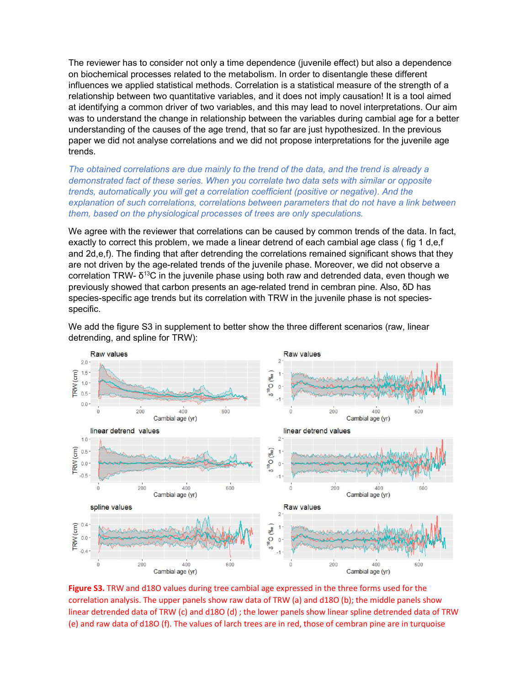The reviewer has to consider not only a time dependence (juvenile effect) but also a dependence on biochemical processes related to the metabolism. In order to disentangle these different influences we applied statistical methods. Correlation is a statistical measure of the strength of a relationship between two quantitative variables, and it does not imply causation! It is a tool aimed at identifying a common driver of two variables, and this may lead to novel interpretations. Our aim was to understand the change in relationship between the variables during cambial age for a better understanding of the causes of the age trend, that so far are just hypothesized. In the previous paper we did not analyse correlations and we did not propose interpretations for the juvenile age trends.

The obtained correlations are due mainly to the trend of the data, and the trend is already a demonstrated fact of these series. When you correlate two data sets with similar or opposite trends, automatically you will get a correlation coefficient (positive or negative). And the explanation of such correlations, correlations between parameters that do not have a link between them, based on the physiological processes of trees are only speculations.

We agree with the reviewer that correlations can be caused by common trends of the data. In fact, exactly to correct this problem, we made a linear detrend of each cambial age class ( fig 1 d,e,f and 2d,e,f). The finding that after detrending the correlations remained significant shows that they are not driven by the age-related trends of the juvenile phase. Moreover, we did not observe a correlation TRW-  $\delta^{13}$ C in the juvenile phase using both raw and detrended data, even though we previously showed that carbon presents an age-related trend in cembran pine. Also, δD has species-specific age trends but its correlation with TRW in the juvenile phase is not speciesspecific.



We add the figure S3 in supplement to better show the three different scenarios (raw, linear detrending, and spline for TRW):

Figure S3. TRW and d18O values during tree cambial age expressed in the three forms used for the correlation analysis. The upper panels show raw data of TRW (a) and d18O (b); the middle panels show linear detrended data of TRW (c) and d18O (d) ; the lower panels show linear spline detrended data of TRW (e) and raw data of d18O (f). The values of larch trees are in red, those of cembran pine are in turquoise